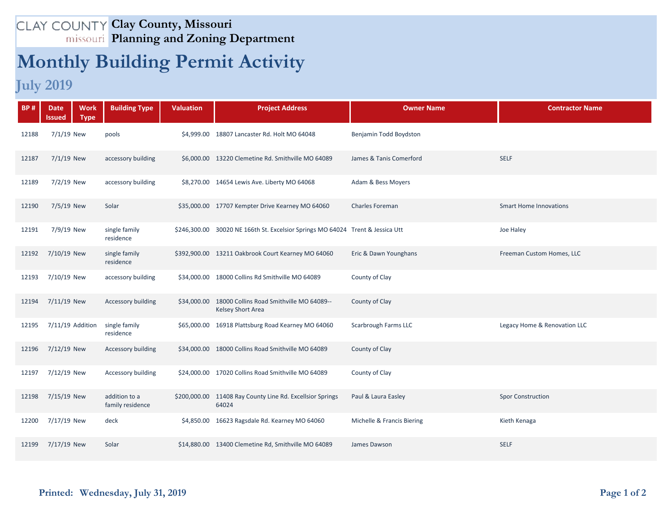## **Clay County, Missouri Planning and Zoning Department**

## **Monthly Building Permit Activity**

## **July 2019**

| <b>BP#</b> | <b>Work</b><br><b>Date</b><br><b>Type</b><br>Issued | <b>Building Type</b>              | <b>Valuation</b> | <b>Project Address</b>                                                         | <b>Owner Name</b>          | <b>Contractor Name</b>        |
|------------|-----------------------------------------------------|-----------------------------------|------------------|--------------------------------------------------------------------------------|----------------------------|-------------------------------|
| 12188      | $7/1/19$ New                                        | pools                             |                  | \$4,999.00 18807 Lancaster Rd. Holt MO 64048                                   | Benjamin Todd Boydston     |                               |
| 12187      | $7/1/19$ New                                        | accessory building                |                  | \$6,000.00 13220 Clemetine Rd. Smithville MO 64089                             | James & Tanis Comerford    | <b>SELF</b>                   |
| 12189      | 7/2/19 New                                          | accessory building                |                  | \$8,270.00 14654 Lewis Ave. Liberty MO 64068                                   | Adam & Bess Moyers         |                               |
| 12190      | 7/5/19 New                                          | Solar                             |                  | \$35,000.00 17707 Kempter Drive Kearney MO 64060                               | Charles Foreman            | <b>Smart Home Innovations</b> |
| 12191      | 7/9/19 New                                          | single family<br>residence        |                  | \$246,300.00 30020 NE 166th St. Excelsior Springs MO 64024 Trent & Jessica Utt |                            | Joe Haley                     |
| 12192      | 7/10/19 New                                         | single family<br>residence        |                  | \$392,900.00 13211 Oakbrook Court Kearney MO 64060                             | Eric & Dawn Younghans      | Freeman Custom Homes, LLC     |
| 12193      | 7/10/19 New                                         | accessory building                |                  | \$34,000.00 18000 Collins Rd Smithville MO 64089                               | County of Clay             |                               |
| 12194      | 7/11/19 New                                         | Accessory building                | \$34,000.00      | 18000 Collins Road Smithville MO 64089--<br><b>Kelsey Short Area</b>           | County of Clay             |                               |
| 12195      | 7/11/19 Addition                                    | single family<br>residence        |                  | \$65,000.00 16918 Plattsburg Road Kearney MO 64060                             | Scarbrough Farms LLC       | Legacy Home & Renovation LLC  |
| 12196      | 7/12/19 New                                         | Accessory building                |                  | \$34,000.00 18000 Collins Road Smithville MO 64089                             | County of Clay             |                               |
| 12197      | 7/12/19 New                                         | Accessory building                |                  | \$24,000.00 17020 Collins Road Smithville MO 64089                             | County of Clay             |                               |
| 12198      | 7/15/19 New                                         | addition to a<br>family residence |                  | \$200,000.00 11408 Ray County Line Rd. Excellsior Springs<br>64024             | Paul & Laura Easley        | <b>Spor Construction</b>      |
| 12200      | 7/17/19 New                                         | deck                              |                  | \$4,850.00 16623 Ragsdale Rd. Kearney MO 64060                                 | Michelle & Francis Biering | Kieth Kenaga                  |
| 12199      | 7/17/19 New                                         | Solar                             |                  | \$14,880.00 13400 Clemetine Rd, Smithville MO 64089                            | James Dawson               | <b>SELF</b>                   |